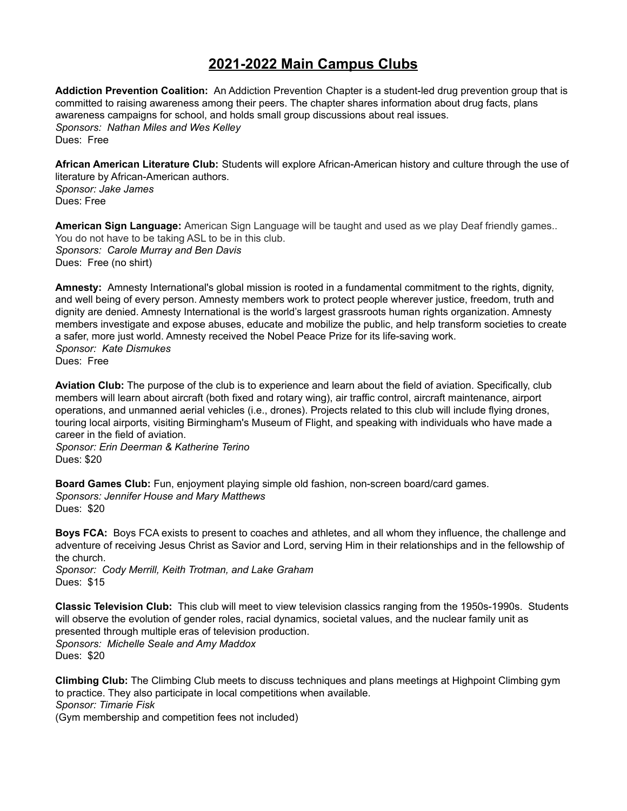## **2021-2022 Main Campus Clubs**

**Addiction Prevention Coalition:** An Addiction Prevention Chapter is a student-led drug prevention group that is committed to raising awareness among their peers. The chapter shares information about drug facts, plans awareness campaigns for school, and holds small group discussions about real issues. *Sponsors: Nathan Miles and Wes Kelley* Dues: Free

**African American Literature Club:** Students will explore African-American history and culture through the use of literature by African-American authors. *Sponsor: Jake James* Dues: Free

**American Sign Language:** American Sign Language will be taught and used as we play Deaf friendly games.. You do not have to be taking ASL to be in this club. *Sponsors: Carole Murray and Ben Davis* Dues: Free (no shirt)

**Amnesty:** Amnesty International's global mission is rooted in a fundamental commitment to the rights, dignity, and well being of every person. Amnesty members work to protect people wherever justice, freedom, truth and dignity are denied. Amnesty International is the world's largest grassroots human rights organization. Amnesty members investigate and expose abuses, educate and mobilize the public, and help transform societies to create a safer, more just world. Amnesty received the Nobel Peace Prize for its life-saving work. *Sponsor: Kate Dismukes* Dues: Free

**Aviation Club:** The purpose of the club is to experience and learn about the field of aviation. Specifically, club members will learn about aircraft (both fixed and rotary wing), air traffic control, aircraft maintenance, airport operations, and unmanned aerial vehicles (i.e., drones). Projects related to this club will include flying drones, touring local airports, visiting Birmingham's Museum of Flight, and speaking with individuals who have made a career in the field of aviation.

*Sponsor: Erin Deerman & Katherine Terino* Dues: \$20

**Board Games Club:** Fun, enjoyment playing simple old fashion, non-screen board/card games. *Sponsors: Jennifer House and Mary Matthews* Dues: \$20

**Boys FCA:** Boys FCA exists to present to coaches and athletes, and all whom they influence, the challenge and adventure of receiving Jesus Christ as Savior and Lord, serving Him in their relationships and in the fellowship of the church.

*Sponsor: Cody Merrill, Keith Trotman, and Lake Graham* Dues: \$15

**Classic Television Club:** This club will meet to view television classics ranging from the 1950s-1990s. Students will observe the evolution of gender roles, racial dynamics, societal values, and the nuclear family unit as presented through multiple eras of television production. *Sponsors: Michelle Seale and Amy Maddox*

Dues: \$20

**Climbing Club:** The Climbing Club meets to discuss techniques and plans meetings at Highpoint Climbing gym to practice. They also participate in local competitions when available. *Sponsor: Timarie Fisk* (Gym membership and competition fees not included)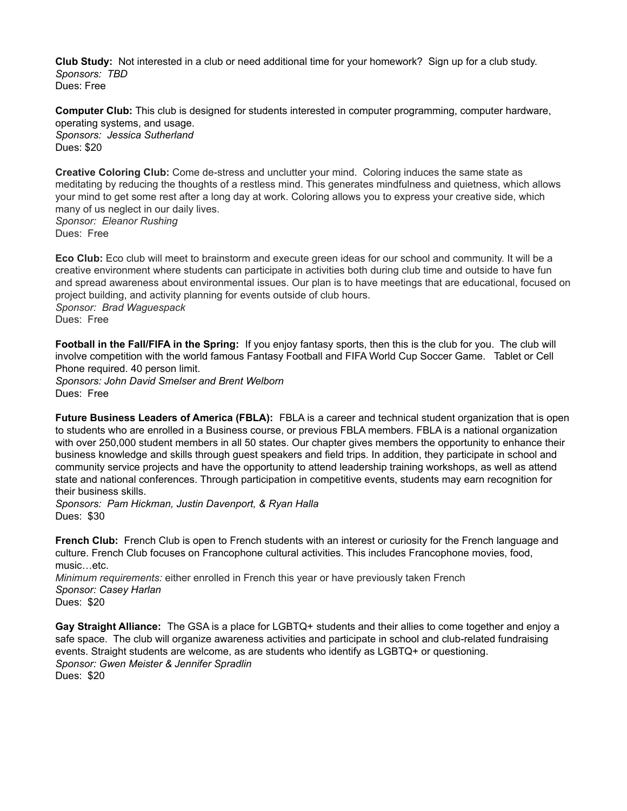**Club Study:** Not interested in a club or need additional time for your homework? Sign up for a club study. *Sponsors: TBD* Dues: Free

**Computer Club:** This club is designed for students interested in computer programming, computer hardware, operating systems, and usage. *Sponsors: Jessica Sutherland* Dues: \$20

**Creative Coloring Club:** Come de-stress and unclutter your mind. Coloring induces the same state as meditating by reducing the thoughts of a restless mind. This generates mindfulness and quietness, which allows your mind to get some rest after a long day at work. Coloring allows you to express your creative side, which many of us neglect in our daily lives.

*Sponsor: Eleanor Rushing* Dues: Free

**Eco Club:** Eco club will meet to brainstorm and execute green ideas for our school and community. It will be a creative environment where students can participate in activities both during club time and outside to have fun and spread awareness about environmental issues. Our plan is to have meetings that are educational, focused on project building, and activity planning for events outside of club hours. *Sponsor: Brad Waguespack* Dues: Free

**Football in the Fall/FIFA in the Spring:** If you enjoy fantasy sports, then this is the club for you. The club will involve competition with the world famous Fantasy Football and FIFA World Cup Soccer Game. Tablet or Cell Phone required. 40 person limit.

*Sponsors: John David Smelser and Brent Welborn* Dues: Free

**Future Business Leaders of America (FBLA):** FBLA is a career and technical student organization that is open to students who are enrolled in a Business course, or previous FBLA members. FBLA is a national organization with over 250,000 student members in all 50 states. Our chapter gives members the opportunity to enhance their business knowledge and skills through guest speakers and field trips. In addition, they participate in school and community service projects and have the opportunity to attend leadership training workshops, as well as attend state and national conferences. Through participation in competitive events, students may earn recognition for their business skills.

*Sponsors: Pam Hickman, Justin Davenport, & Ryan Halla* Dues: \$30

**French Club:** French Club is open to French students with an interest or curiosity for the French language and culture. French Club focuses on Francophone cultural activities. This includes Francophone movies, food, music…etc.

*Minimum requirements:* either enrolled in French this year or have previously taken French *Sponsor: Casey Harlan* Dues: \$20

**Gay Straight Alliance:** The GSA is a place for LGBTQ+ students and their allies to come together and enjoy a safe space. The club will organize awareness activities and participate in school and club-related fundraising events. Straight students are welcome, as are students who identify as LGBTQ+ or questioning. *Sponsor: Gwen Meister & Jennifer Spradlin* Dues: \$20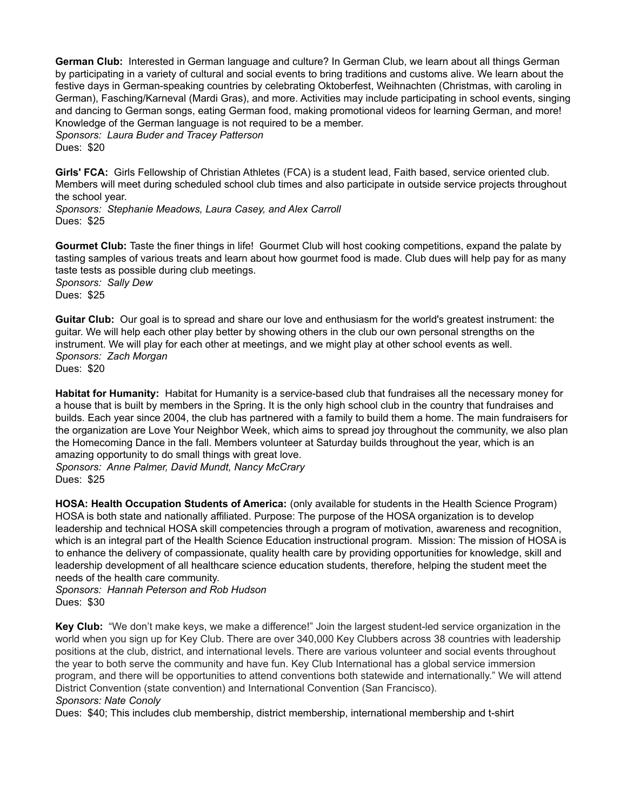**German Club:** Interested in German language and culture? In German Club, we learn about all things German by participating in a variety of cultural and social events to bring traditions and customs alive. We learn about the festive days in German-speaking countries by celebrating Oktoberfest, Weihnachten (Christmas, with caroling in German), Fasching/Karneval (Mardi Gras), and more. Activities may include participating in school events, singing and dancing to German songs, eating German food, making promotional videos for learning German, and more! Knowledge of the German language is not required to be a member. *Sponsors: Laura Buder and Tracey Patterson* Dues: \$20

**Girls' FCA:** Girls Fellowship of Christian Athletes (FCA) is a student lead, Faith based, service oriented club. Members will meet during scheduled school club times and also participate in outside service projects throughout the school year.

*Sponsors: Stephanie Meadows, Laura Casey, and Alex Carroll* Dues: \$25

**Gourmet Club:** Taste the finer things in life! Gourmet Club will host cooking competitions, expand the palate by tasting samples of various treats and learn about how gourmet food is made. Club dues will help pay for as many taste tests as possible during club meetings. *Sponsors: Sally Dew* Dues: \$25

**Guitar Club:** Our goal is to spread and share our love and enthusiasm for the world's greatest instrument: the guitar. We will help each other play better by showing others in the club our own personal strengths on the instrument. We will play for each other at meetings, and we might play at other school events as well. *Sponsors: Zach Morgan* Dues: \$20

**Habitat for Humanity:** Habitat for Humanity is a service-based club that fundraises all the necessary money for a house that is built by members in the Spring. It is the only high school club in the country that fundraises and builds. Each year since 2004, the club has partnered with a family to build them a home. The main fundraisers for the organization are Love Your Neighbor Week, which aims to spread joy throughout the community, we also plan the Homecoming Dance in the fall. Members volunteer at Saturday builds throughout the year, which is an amazing opportunity to do small things with great love.

*Sponsors: Anne Palmer, David Mundt, Nancy McCrary* Dues: \$25

**HOSA: Health Occupation Students of America:** (only available for students in the Health Science Program) HOSA is both state and nationally affiliated. Purpose: The purpose of the HOSA organization is to develop leadership and technical HOSA skill competencies through a program of motivation, awareness and recognition, which is an integral part of the Health Science Education instructional program. Mission: The mission of HOSA is to enhance the delivery of compassionate, quality health care by providing opportunities for knowledge, skill and leadership development of all healthcare science education students, therefore, helping the student meet the needs of the health care community.

*Sponsors: Hannah Peterson and Rob Hudson* Dues: \$30

**Key Club:** "We don't make keys, we make a difference!" Join the largest student-led service organization in the world when you sign up for Key Club. There are over 340,000 Key Clubbers across 38 countries with leadership positions at the club, district, and international levels. There are various volunteer and social events throughout the year to both serve the community and have fun. Key Club International has a global service immersion program, and there will be opportunities to attend conventions both statewide and internationally." We will attend District Convention (state convention) and International Convention (San Francisco).

## *Sponsors: Nate Conoly*

Dues: \$40; This includes club membership, district membership, international membership and t-shirt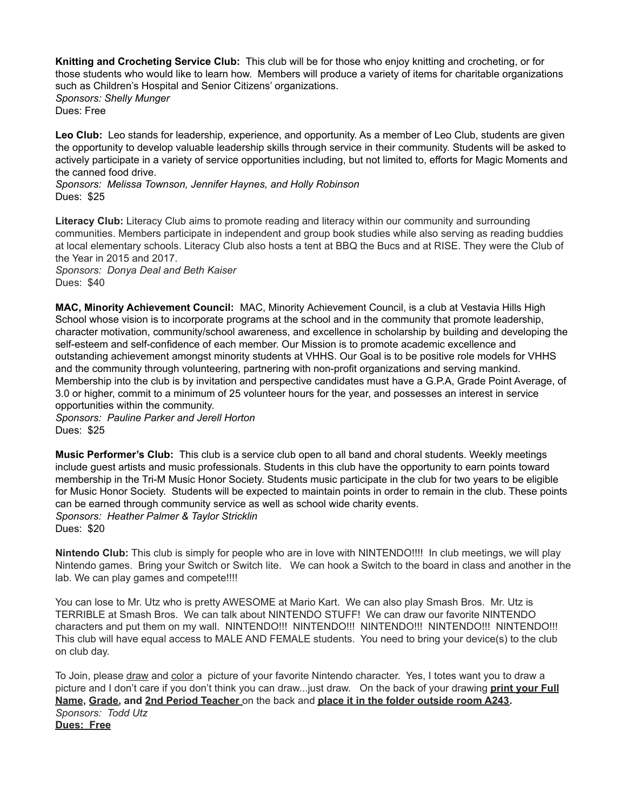**Knitting and Crocheting Service Club:** This club will be for those who enjoy knitting and crocheting, or for those students who would like to learn how. Members will produce a variety of items for charitable organizations such as Children's Hospital and Senior Citizens' organizations. *Sponsors: Shelly Munger*

Dues: Free

**Leo Club:** Leo stands for leadership, experience, and opportunity. As a member of Leo Club, students are given the opportunity to develop valuable leadership skills through service in their community. Students will be asked to actively participate in a variety of service opportunities including, but not limited to, efforts for Magic Moments and the canned food drive.

*Sponsors: Melissa Townson, Jennifer Haynes, and Holly Robinson* Dues: \$25

**Literacy Club:** Literacy Club aims to promote reading and literacy within our community and surrounding communities. Members participate in independent and group book studies while also serving as reading buddies at local elementary schools. Literacy Club also hosts a tent at BBQ the Bucs and at RISE. They were the Club of the Year in 2015 and 2017.

*Sponsors: Donya Deal and Beth Kaiser* Dues: \$40

**MAC, Minority Achievement Council:** MAC, Minority Achievement Council, is a club at Vestavia Hills High School whose vision is to incorporate programs at the school and in the community that promote leadership, character motivation, community/school awareness, and excellence in scholarship by building and developing the self-esteem and self-confidence of each member. Our Mission is to promote academic excellence and outstanding achievement amongst minority students at VHHS. Our Goal is to be positive role models for VHHS and the community through volunteering, partnering with non-profit organizations and serving mankind. Membership into the club is by invitation and perspective candidates must have a G.P.A, Grade Point Average, of 3.0 or higher, commit to a minimum of 25 volunteer hours for the year, and possesses an interest in service opportunities within the community.

*Sponsors: Pauline Parker and Jerell Horton* Dues: \$25

**Music Performer's Club:** This club is a service club open to all band and choral students. Weekly meetings include guest artists and music professionals. Students in this club have the opportunity to earn points toward membership in the Tri-M Music Honor Society. Students music participate in the club for two years to be eligible for Music Honor Society. Students will be expected to maintain points in order to remain in the club. These points can be earned through community service as well as school wide charity events. *Sponsors: Heather Palmer & Taylor Stricklin* Dues: \$20

**Nintendo Club:** This club is simply for people who are in love with NINTENDO!!!! In club meetings, we will play Nintendo games. Bring your Switch or Switch lite. We can hook a Switch to the board in class and another in the lab. We can play games and compete!!!!

You can lose to Mr. Utz who is pretty AWESOME at Mario Kart. We can also play Smash Bros. Mr. Utz is TERRIBLE at Smash Bros. We can talk about NINTENDO STUFF! We can draw our favorite NINTENDO characters and put them on my wall. NINTENDO!!! NINTENDO!!! NINTENDO!!! NINTENDO!!! NINTENDO!!! This club will have equal access to MALE AND FEMALE students. You need to bring your device(s) to the club on club day.

To Join, please draw and color a picture of your favorite Nintendo character. Yes, I totes want you to draw a picture and I don't care if you don't think you can draw...just draw. On the back of your drawing **print your Full Name, Grade, and 2nd Period Teacher** on the back and **place it in the folder outside room A243.** *Sponsors: Todd Utz* **Dues: Free**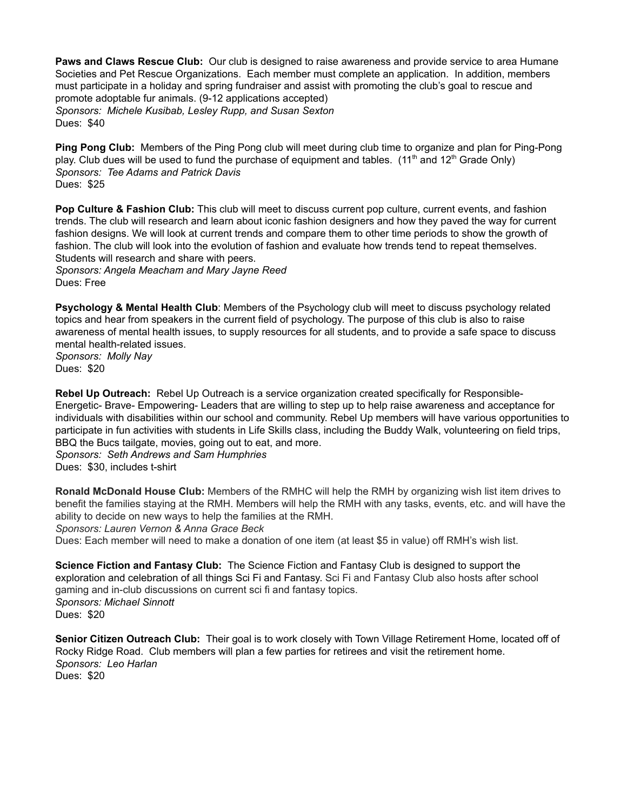**Paws and Claws Rescue Club:** Our club is designed to raise awareness and provide service to area Humane Societies and Pet Rescue Organizations. Each member must complete an application. In addition, members must participate in a holiday and spring fundraiser and assist with promoting the club's goal to rescue and promote adoptable fur animals. (9-12 applications accepted) *Sponsors: Michele Kusibab, Lesley Rupp, and Susan Sexton* Dues: \$40

**Ping Pong Club:** Members of the Ping Pong club will meet during club time to organize and plan for Ping-Pong play. Club dues will be used to fund the purchase of equipment and tables. (11<sup>th</sup> and 12<sup>th</sup> Grade Only) *Sponsors: Tee Adams and Patrick Davis* Dues: \$25

**Pop Culture & Fashion Club:** This club will meet to discuss current pop culture, current events, and fashion trends. The club will research and learn about iconic fashion designers and how they paved the way for current fashion designs. We will look at current trends and compare them to other time periods to show the growth of fashion. The club will look into the evolution of fashion and evaluate how trends tend to repeat themselves. Students will research and share with peers.

*Sponsors: Angela Meacham and Mary Jayne Reed* Dues: Free

**Psychology & Mental Health Club**: Members of the Psychology club will meet to discuss psychology related topics and hear from speakers in the current field of psychology. The purpose of this club is also to raise awareness of mental health issues, to supply resources for all students, and to provide a safe space to discuss mental health-related issues.

*Sponsors: Molly Nay* Dues: \$20

**Rebel Up Outreach:** Rebel Up Outreach is a service organization created specifically for Responsible-Energetic- Brave- Empowering- Leaders that are willing to step up to help raise awareness and acceptance for individuals with disabilities within our school and community. Rebel Up members will have various opportunities to participate in fun activities with students in Life Skills class, including the Buddy Walk, volunteering on field trips, BBQ the Bucs tailgate, movies, going out to eat, and more.

*Sponsors: Seth Andrews and Sam Humphries* Dues: \$30, includes t-shirt

**Ronald McDonald House Club:** Members of the RMHC will help the RMH by organizing wish list item drives to benefit the families staying at the RMH. Members will help the RMH with any tasks, events, etc. and will have the ability to decide on new ways to help the families at the RMH.

*Sponsors: Lauren Vernon & Anna Grace Beck*

Dues: Each member will need to make a donation of one item (at least \$5 in value) off RMH's wish list.

**Science Fiction and Fantasy Club:** The Science Fiction and Fantasy Club is designed to support the exploration and celebration of all things Sci Fi and Fantasy. Sci Fi and Fantasy Club also hosts after school gaming and in-club discussions on current sci fi and fantasy topics. *Sponsors: Michael Sinnott* Dues: \$20

**Senior Citizen Outreach Club:** Their goal is to work closely with Town Village Retirement Home, located off of Rocky Ridge Road. Club members will plan a few parties for retirees and visit the retirement home. *Sponsors: Leo Harlan* Dues: \$20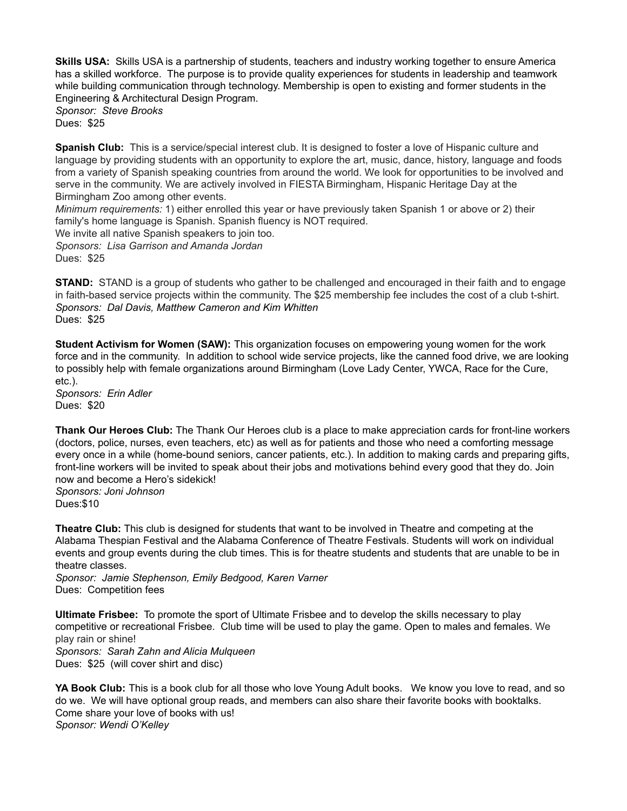**Skills USA:** Skills USA is a partnership of students, teachers and industry working together to ensure America has a skilled workforce. The purpose is to provide quality experiences for students in leadership and teamwork while building communication through technology. Membership is open to existing and former students in the Engineering & Architectural Design Program.

*Sponsor: Steve Brooks* Dues: \$25

**Spanish Club:** This is a service/special interest club. It is designed to foster a love of Hispanic culture and language by providing students with an opportunity to explore the art, music, dance, history, language and foods from a variety of Spanish speaking countries from around the world. We look for opportunities to be involved and serve in the community. We are actively involved in FIESTA Birmingham, Hispanic Heritage Day at the Birmingham Zoo among other events.

*Minimum requirements:* 1) either enrolled this year or have previously taken Spanish 1 or above or 2) their family's home language is Spanish. Spanish fluency is NOT required.

We invite all native Spanish speakers to join too. *Sponsors: Lisa Garrison and Amanda Jordan* Dues: \$25

**STAND:** STAND is a group of students who gather to be challenged and encouraged in their faith and to engage in faith-based service projects within the community. The \$25 membership fee includes the cost of a club t-shirt. *Sponsors: Dal Davis, Matthew Cameron and Kim Whitten* Dues: \$25

**Student Activism for Women (SAW):** This organization focuses on empowering young women for the work force and in the community. In addition to school wide service projects, like the canned food drive, we are looking to possibly help with female organizations around Birmingham (Love Lady Center, YWCA, Race for the Cure, etc.).

*Sponsors: Erin Adler* Dues: \$20

**Thank Our Heroes Club:** The Thank Our Heroes club is a place to make appreciation cards for front-line workers (doctors, police, nurses, even teachers, etc) as well as for patients and those who need a comforting message every once in a while (home-bound seniors, cancer patients, etc.). In addition to making cards and preparing gifts, front-line workers will be invited to speak about their jobs and motivations behind every good that they do. Join now and become a Hero's sidekick!

*Sponsors: Joni Johnson* Dues:\$10

**Theatre Club:** This club is designed for students that want to be involved in Theatre and competing at the Alabama Thespian Festival and the Alabama Conference of Theatre Festivals. Students will work on individual events and group events during the club times. This is for theatre students and students that are unable to be in theatre classes.

*Sponsor: Jamie Stephenson, Emily Bedgood, Karen Varner* Dues: Competition fees

**Ultimate Frisbee:** To promote the sport of Ultimate Frisbee and to develop the skills necessary to play competitive or recreational Frisbee. Club time will be used to play the game. Open to males and females. We play rain or shine! *Sponsors: Sarah Zahn and Alicia Mulqueen* Dues: \$25 (will cover shirt and disc)

**YA Book Club:** This is a book club for all those who love Young Adult books. We know you love to read, and so do we. We will have optional group reads, and members can also share their favorite books with booktalks. Come share your love of books with us! *Sponsor: Wendi O'Kelley*